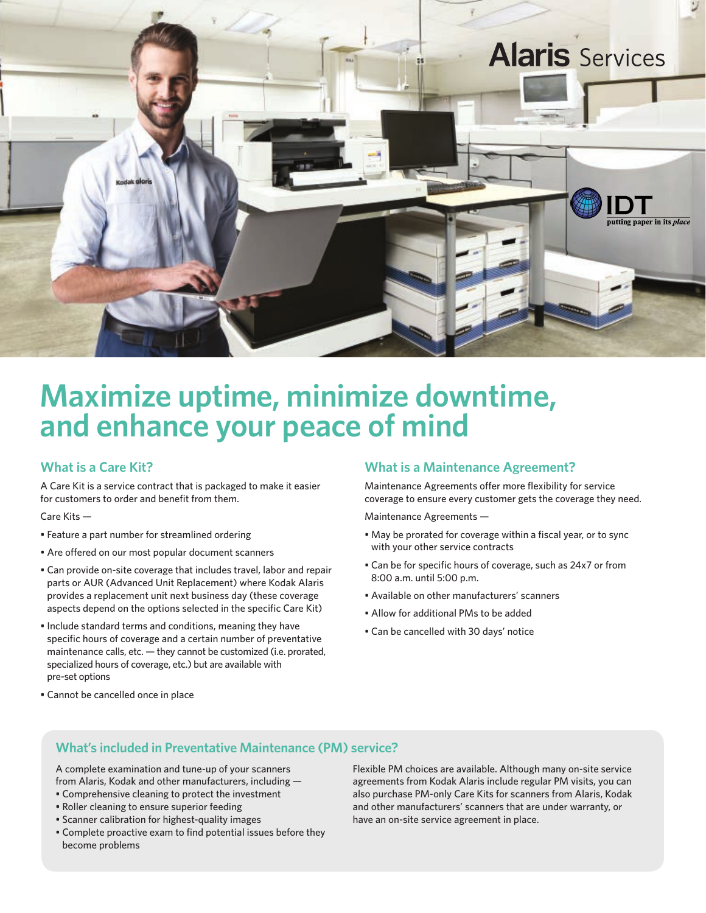

## **Maximize uptime, minimize downtime, and enhance your peace of mind**

## **What is a Care Kit?**

A Care Kit is a service contract that is packaged to make it easier for customers to order and benefit from them.

Care Kits —

- Feature a part number for streamlined ordering
- Are offered on our most popular document scanners
- Can provide on-site coverage that includes travel, labor and repair parts or AUR (Advanced Unit Replacement) where Kodak Alaris provides a replacement unit next business day (these coverage aspects depend on the options selected in the specific Care Kit)
- Include standard terms and conditions, meaning they have specific hours of coverage and a certain number of preventative maintenance calls, etc. — they cannot be customized (i.e. prorated, specialized hours of coverage, etc.) but are available with pre-set options

#### • Cannot be cancelled once in place

### **What is a Maintenance Agreement?**

Maintenance Agreements offer more flexibility for service coverage to ensure every customer gets the coverage they need.

Maintenance Agreements —

- May be prorated for coverage within a fiscal year, or to sync with your other service contracts
- Can be for specific hours of coverage, such as 24x7 or from 8:00 a.m. until 5:00 p.m.
- Available on other manufacturers' scanners
- Allow for additional PMs to be added
- Can be cancelled with 30 days' notice

## **What's included in Preventative Maintenance (PM) service?**

A complete examination and tune-up of your scanners from Alaris, Kodak and other manufacturers, including —

- Comprehensive cleaning to protect the investment
- Roller cleaning to ensure superior feeding
- Scanner calibration for highest-quality images
- Complete proactive exam to find potential issues before they become problems

Flexible PM choices are available. Although many on-site service agreements from Kodak Alaris include regular PM visits, you can also purchase PM-only Care Kits for scanners from Alaris, Kodak and other manufacturers' scanners that are under warranty, or have an on-site service agreement in place.